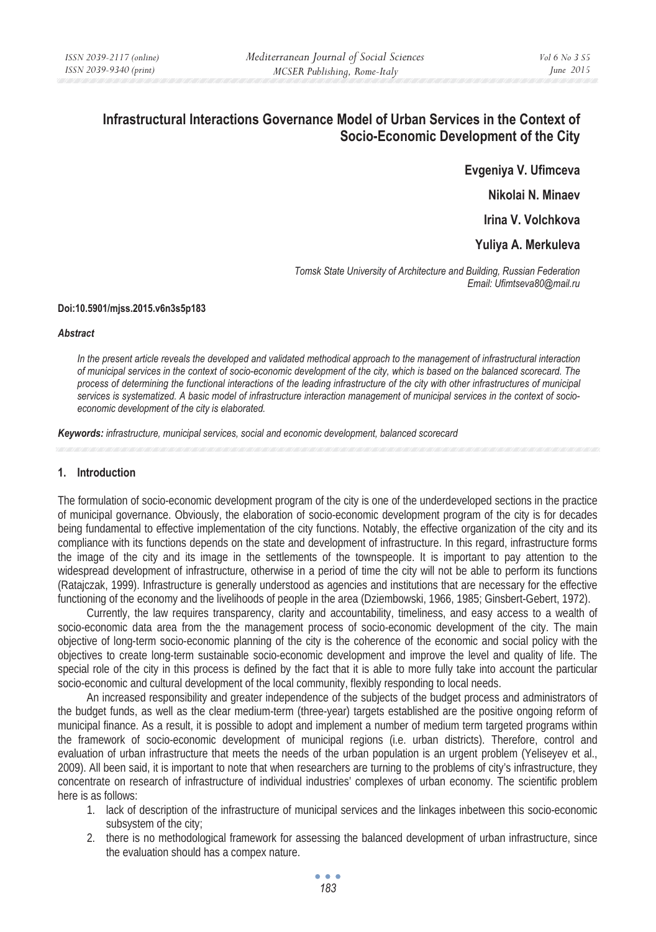# **Infrastructural Interactions Governance Model of Urban Services in the Context of Socio-Economic Development of the City**

**Evgeniya V. Ufimceva Nikolai N. Minaev** 

**Irina V. Volchkova** 

**Yuliya A. Merkuleva** 

*Tomsk State University of Architecture and Building, Russian Federation Email: Ufimtseva80@mail.ru* 

#### **Doi:10.5901/mjss.2015.v6n3s5p183**

#### *Abstract*

*In the present article reveals the developed and validated methodical approach to the management of infrastructural interaction of municipal services in the context of socio-economic development of the city, which is based on the balanced scorecard. The process of determining the functional interactions of the leading infrastructure of the city with other infrastructures of municipal services is systematized. A basic model of infrastructure interaction management of municipal services in the context of socioeconomic development of the city is elaborated.* 

*Keywords: infrastructure, municipal services, social and economic development, balanced scorecard*

#### **1. Introduction**

The formulation of socio-economic development program of the city is one of the underdeveloped sections in the practice of municipal governance. Obviously, the elaboration of socio-economic development program of the city is for decades being fundamental to effective implementation of the city functions. Notably, the effective organization of the city and its compliance with its functions depends on the state and development of infrastructure. In this regard, infrastructure forms the image of the city and its image in the settlements of the townspeople. It is important to pay attention to the widespread development of infrastructure, otherwise in a period of time the city will not be able to perform its functions (Ratajczak, 1999). Infrastructure is generally understood as agencies and institutions that are necessary for the effective functioning of the economy and the livelihoods of people in the area (Dziembowski, 1966, 1985; Ginsbert-Gebert, 1972).

Currently, the law requires transparency, clarity and accountability, timeliness, and easy access to a wealth of socio-economic data area from the the management process of socio-economic development of the city. The main objective of long-term socio-economic planning of the city is the coherence of the economic and social policy with the objectives to create long-term sustainable socio-economic development and improve the level and quality of life. The special role of the city in this process is defined by the fact that it is able to more fully take into account the particular socio-economic and cultural development of the local community, flexibly responding to local needs.

An increased responsibility and greater independence of the subjects of the budget process and administrators of the budget funds, as well as the clear medium-term (three-year) targets established are the positive ongoing reform of municipal finance. As a result, it is possible to adopt and implement a number of medium term targeted programs within the framework of socio-economic development of municipal regions (i.e. urban districts). Therefore, control and evaluation of urban infrastructure that meets the needs of the urban population is an urgent problem (Yeliseyev et al., 2009). All been said, it is important to note that when researchers are turning to the problems of city's infrastructure, they concentrate on research of infrastructure of individual industries' complexes of urban economy. The scientific problem here is as follows:

- 1. lack of description of the infrastructure of municipal services and the linkages inbetween this socio-economic subsystem of the city;
- 2. there is no methodological framework for assessing the balanced development of urban infrastructure, since the evaluation should has a compex nature.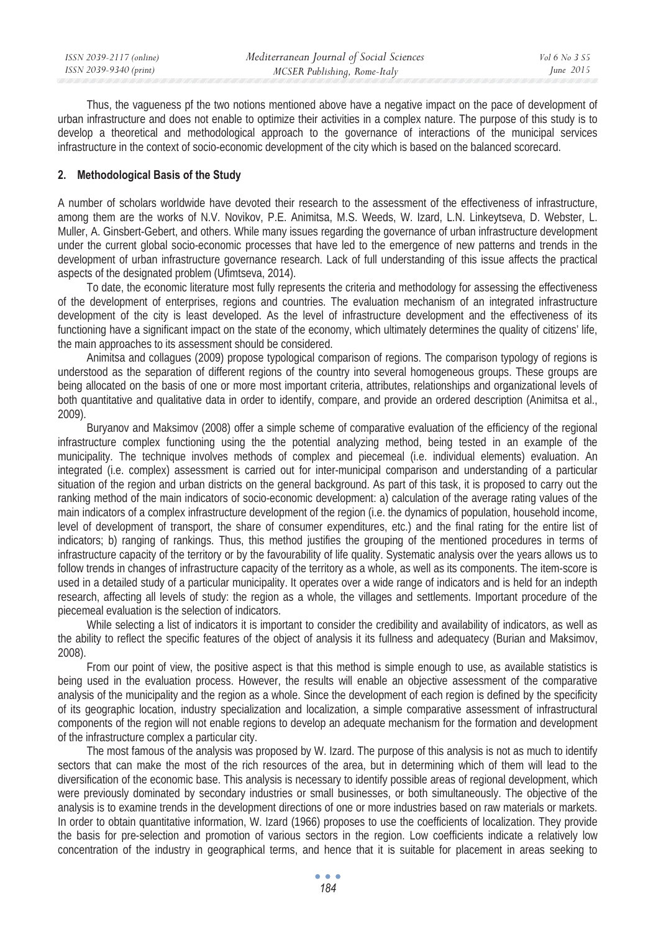| ISSN 2039-2117 (online) | Mediterranean Journal of Social Sciences | Vol 6 No. 3 S5 |
|-------------------------|------------------------------------------|----------------|
| ISSN 2039-9340 (print)  | MCSER Publishing, Rome-Italy             | June $2015$    |
|                         |                                          |                |

Thus, the vagueness pf the two notions mentioned above have a negative impact on the pace of development of urban infrastructure and does not enable to optimize their activities in a complex nature. The purpose of this study is to develop a theoretical and methodological approach to the governance of interactions of the municipal services infrastructure in the context of socio-economic development of the city which is based on the balanced scorecard.

## **2. Methodological Basis of the Study**

A number of scholars worldwide have devoted their research to the assessment of the effectiveness of infrastructure, among them are the works of N.V. Novikov, P.E. Animitsa, M.S. Weeds, W. Izard, L.N. Linkeytseva, D. Webster, L. Muller, A. Ginsbert-Gebert, and others. While many issues regarding the governance of urban infrastructure development under the current global socio-economic processes that have led to the emergence of new patterns and trends in the development of urban infrastructure governance research. Lack of full understanding of this issue affects the practical aspects of the designated problem (Ufimtseva, 2014).

To date, the economic literature most fully represents the criteria and methodology for assessing the effectiveness of the development of enterprises, regions and countries. The evaluation mechanism of an integrated infrastructure development of the city is least developed. As the level of infrastructure development and the effectiveness of its functioning have a significant impact on the state of the economy, which ultimately determines the quality of citizens' life, the main approaches to its assessment should be considered.

Animitsa and collagues (2009) propose typological comparison of regions. The comparison typology of regions is understood as the separation of different regions of the country into several homogeneous groups. These groups are being allocated on the basis of one or more most important criteria, attributes, relationships and organizational levels of both quantitative and qualitative data in order to identify, compare, and provide an ordered description (Animitsa et al., 2009).

Buryanov and Maksimov (2008) offer a simple scheme of comparative evaluation of the efficiency of the regional infrastructure complex functioning using the the potential analyzing method, being tested in an example of the municipality. The technique involves methods of complex and piecemeal (i.e. individual elements) evaluation. An integrated (i.e. complex) assessment is carried out for inter-municipal comparison and understanding of a particular situation of the region and urban districts on the general background. As part of this task, it is proposed to carry out the ranking method of the main indicators of socio-economic development: a) calculation of the average rating values of the main indicators of a complex infrastructure development of the region (i.e. the dynamics of population, household income, level of development of transport, the share of consumer expenditures, etc.) and the final rating for the entire list of indicators; b) ranging of rankings. Thus, this method justifies the grouping of the mentioned procedures in terms of infrastructure capacity of the territory or by the favourability of life quality. Systematic analysis over the years allows us to follow trends in changes of infrastructure capacity of the territory as a whole, as well as its components. The item-score is used in a detailed study of a particular municipality. It operates over a wide range of indicators and is held for an indepth research, affecting all levels of study: the region as a whole, the villages and settlements. Important procedure of the piecemeal evaluation is the selection of indicators.

While selecting a list of indicators it is important to consider the credibility and availability of indicators, as well as the ability to reflect the specific features of the object of analysis it its fullness and adequatecy (Burian and Maksimov, 2008).

From our point of view, the positive aspect is that this method is simple enough to use, as available statistics is being used in the evaluation process. However, the results will enable an objective assessment of the comparative analysis of the municipality and the region as a whole. Since the development of each region is defined by the specificity of its geographic location, industry specialization and localization, a simple comparative assessment of infrastructural components of the region will not enable regions to develop an adequate mechanism for the formation and development of the infrastructure complex a particular city.

The most famous of the analysis was proposed by W. Izard. The purpose of this analysis is not as much to identify sectors that can make the most of the rich resources of the area, but in determining which of them will lead to the diversification of the economic base. This analysis is necessary to identify possible areas of regional development, which were previously dominated by secondary industries or small businesses, or both simultaneously. The objective of the analysis is to examine trends in the development directions of one or more industries based on raw materials or markets. In order to obtain quantitative information, W. Izard (1966) proposes to use the coefficients of localization. They provide the basis for pre-selection and promotion of various sectors in the region. Low coefficients indicate a relatively low concentration of the industry in geographical terms, and hence that it is suitable for placement in areas seeking to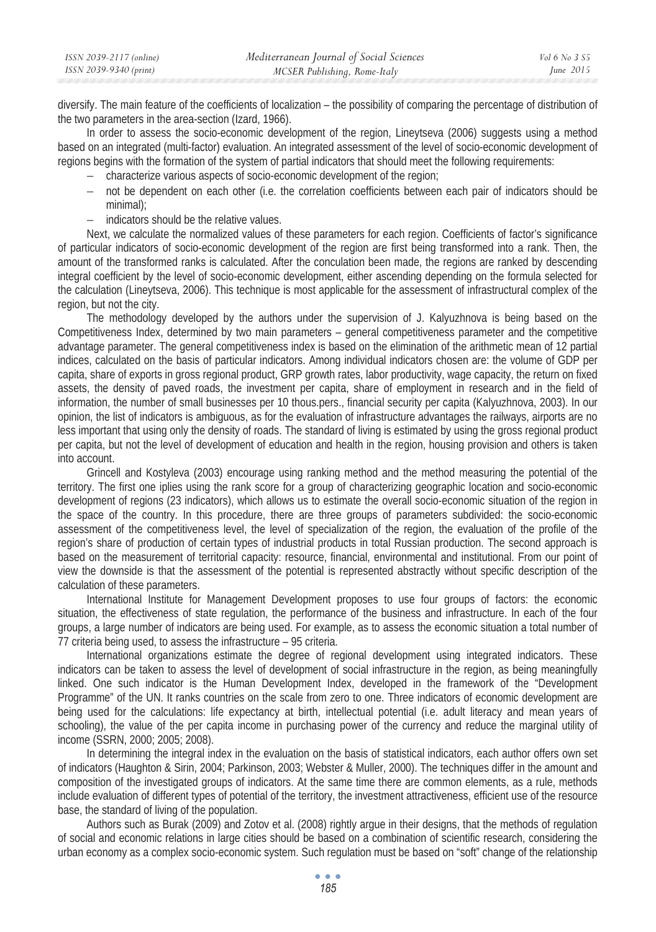| ISSN 2039-2117 (online) | Mediterranean Journal of Social Sciences | Vol 6 No 3 S5 |
|-------------------------|------------------------------------------|---------------|
| ISSN 2039-9340 (print)  | MCSER Publishing, Rome-Italy             | June $2015$   |

diversify. The main feature of the coefficients of localization – the possibility of comparing the percentage of distribution of the two parameters in the area-section (Izard, 1966).

In order to assess the socio-economic development of the region, Lineytseva (2006) suggests using a method based on an integrated (multi-factor) evaluation. An integrated assessment of the level of socio-economic development of regions begins with the formation of the system of partial indicators that should meet the following requirements:

- − characterize various aspects of socio-economic development of the region;
- − not be dependent on each other (i.e. the correlation coefficients between each pair of indicators should be minimal);
- − indicators should be the relative values.

Next, we calculate the normalized values of these parameters for each region. Coefficients of factor's significance of particular indicators of socio-economic development of the region are first being transformed into a rank. Then, the amount of the transformed ranks is calculated. After the conculation been made, the regions are ranked by descending integral coefficient by the level of socio-economic development, either ascending depending on the formula selected for the calculation (Lineytseva, 2006). This technique is most applicable for the assessment of infrastructural complex of the region, but not the city.

The methodology developed by the authors under the supervision of J. Kalyuzhnova is being based on the Competitiveness Index, determined by two main parameters – general competitiveness parameter and the competitive advantage parameter. The general competitiveness index is based on the elimination of the arithmetic mean of 12 partial indices, calculated on the basis of particular indicators. Among individual indicators chosen are: the volume of GDP per capita, share of exports in gross regional product, GRP growth rates, labor productivity, wage capacity, the return on fixed assets, the density of paved roads, the investment per capita, share of employment in research and in the field of information, the number of small businesses per 10 thous.pers., financial security per capita (Kalyuzhnova, 2003). In our opinion, the list of indicators is ambiguous, as for the evaluation of infrastructure advantages the railways, airports are no less important that using only the density of roads. The standard of living is estimated by using the gross regional product per capita, but not the level of development of education and health in the region, housing provision and others is taken into account.

Grincell and Kostyleva (2003) encourage using ranking method and the method measuring the potential of the territory. The first one iplies using the rank score for a group of characterizing geographic location and socio-economic development of regions (23 indicators), which allows us to estimate the overall socio-economic situation of the region in the space of the country. In this procedure, there are three groups of parameters subdivided: the socio-economic assessment of the competitiveness level, the level of specialization of the region, the evaluation of the profile of the region's share of production of certain types of industrial products in total Russian production. The second approach is based on the measurement of territorial capacity: resource, financial, environmental and institutional. From our point of view the downside is that the assessment of the potential is represented abstractly without specific description of the calculation of these parameters.

International Institute for Management Development proposes to use four groups of factors: the economic situation, the effectiveness of state regulation, the performance of the business and infrastructure. In each of the four groups, a large number of indicators are being used. For example, as to assess the economic situation a total number of 77 criteria being used, to assess the infrastructure – 95 criteria.

International organizations estimate the degree of regional development using integrated indicators. These indicators can be taken to assess the level of development of social infrastructure in the region, as being meaningfully linked. One such indicator is the Human Development Index, developed in the framework of the "Development Programme" of the UN. It ranks countries on the scale from zero to one. Three indicators of economic development are being used for the calculations: life expectancy at birth, intellectual potential (i.e. adult literacy and mean years of schooling), the value of the per capita income in purchasing power of the currency and reduce the marginal utility of income (SSRN, 2000; 2005; 2008).

In determining the integral index in the evaluation on the basis of statistical indicators, each author offers own set of indicators (Haughton & Sirin, 2004; Parkinson, 2003; Webster & Muller, 2000). The techniques differ in the amount and composition of the investigated groups of indicators. At the same time there are common elements, as a rule, methods include evaluation of different types of potential of the territory, the investment attractiveness, efficient use of the resource base, the standard of living of the population.

Authors such as Burak (2009) and Zotov et al. (2008) rightly argue in their designs, that the methods of regulation of social and economic relations in large cities should be based on a combination of scientific research, considering the urban economy as a complex socio-economic system. Such regulation must be based on "soft" change of the relationship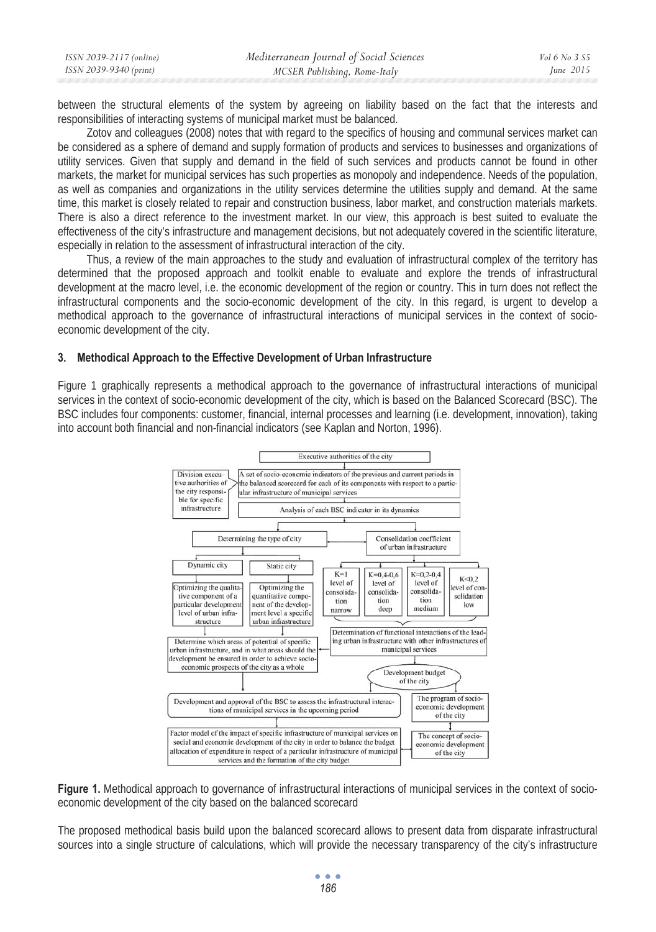| ISSN 2039-9340 (print)<br>MCSER Publishing, Rome-Italy | ISSN 2039-2117 (online) | Mediterranean Journal of Social Sciences | Vol 6 No. 3 S5 |
|--------------------------------------------------------|-------------------------|------------------------------------------|----------------|
|                                                        |                         |                                          | June $2015$    |

between the structural elements of the system by agreeing on liability based on the fact that the interests and responsibilities of interacting systems of municipal market must be balanced.

Zotov and colleagues (2008) notes that with regard to the specifics of housing and communal services market can be considered as a sphere of demand and supply formation of products and services to businesses and organizations of utility services. Given that supply and demand in the field of such services and products cannot be found in other markets, the market for municipal services has such properties as monopoly and independence. Needs of the population, as well as companies and organizations in the utility services determine the utilities supply and demand. At the same time, this market is closely related to repair and construction business, labor market, and construction materials markets. There is also a direct reference to the investment market. In our view, this approach is best suited to evaluate the effectiveness of the city's infrastructure and management decisions, but not adequately covered in the scientific literature, especially in relation to the assessment of infrastructural interaction of the city.

Thus, a review of the main approaches to the study and evaluation of infrastructural complex of the territory has determined that the proposed approach and toolkit enable to evaluate and explore the trends of infrastructural development at the macro level, i.e. the economic development of the region or country. This in turn does not reflect the infrastructural components and the socio-economic development of the city. In this regard, is urgent to develop a methodical approach to the governance of infrastructural interactions of municipal services in the context of socioeconomic development of the city.

## **3. Methodical Approach to the Effective Development of Urban Infrastructure**

Figure 1 graphically represents a methodical approach to the governance of infrastructural interactions of municipal services in the context of socio-economic development of the city, which is based on the Balanced Scorecard (BSC). The BSC includes four components: customer, financial, internal processes and learning (i.e. development, innovation), taking into account both financial and non-financial indicators (see Kaplan and Norton, 1996).



**Figure 1.** Methodical approach to governance of infrastructural interactions of municipal services in the context of socioeconomic development of the city based on the balanced scorecard

The proposed methodical basis build upon the balanced scorecard allows to present data from disparate infrastructural sources into a single structure of calculations, which will provide the necessary transparency of the city's infrastructure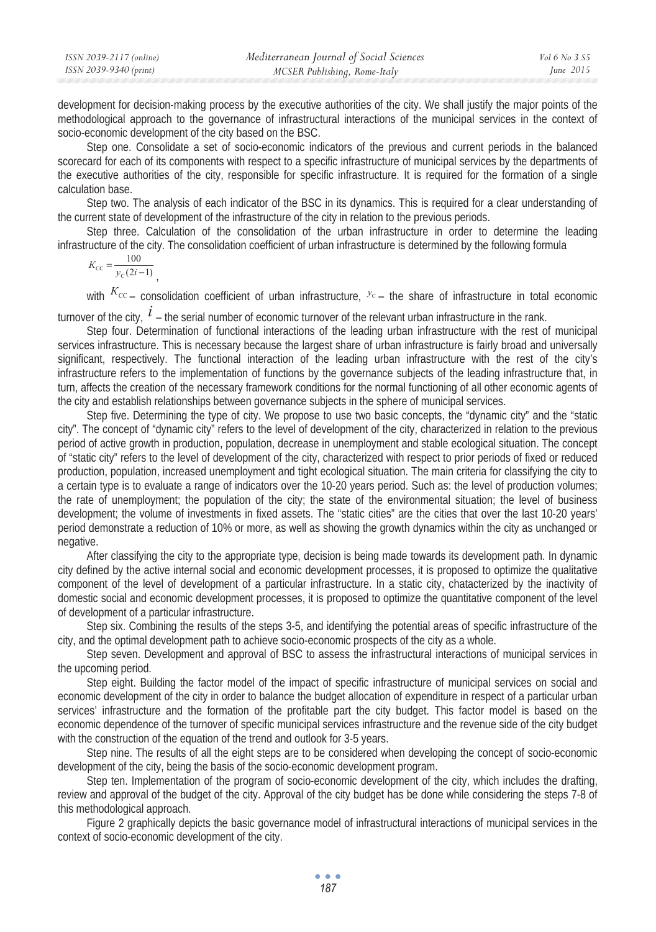| ISSN 2039-2117 (online) | Mediterranean Journal of Social Sciences | <i>Vol</i> 6 No 3 S5 |
|-------------------------|------------------------------------------|----------------------|
| ISSN 2039-9340 (print)  | MCSER Publishing, Rome-Italy             | June $2015$          |

development for decision-making process by the executive authorities of the city. We shall justify the major points of the methodological approach to the governance of infrastructural interactions of the municipal services in the context of socio-economic development of the city based on the BSC.

Step one. Consolidate a set of socio-economic indicators of the previous and current periods in the balanced scorecard for each of its components with respect to a specific infrastructure of municipal services by the departments of the executive authorities of the city, responsible for specific infrastructure. It is required for the formation of a single calculation base.

Step two. The analysis of each indicator of the BSC in its dynamics. This is required for a clear understanding of the current state of development of the infrastructure of the city in relation to the previous periods.

Step three. Calculation of the consolidation of the urban infrastructure in order to determine the leading infrastructure of the city. The consolidation coefficient of urban infrastructure is determined by the following formula

$$
K_{\rm CC} = \frac{100}{y_{\rm C}(2i-1)}
$$

with  $^{K_{\text{CC}}}$  consolidation coefficient of urban infrastructure,  $^{y_{\text{C}}}$  the share of infrastructure in total economic turnover of the city,  $\it \it \rm i$  – the serial number of economic turnover of the relevant urban infrastructure in the rank.

Step four. Determination of functional interactions of the leading urban infrastructure with the rest of municipal services infrastructure. This is necessary because the largest share of urban infrastructure is fairly broad and universally significant, respectively. The functional interaction of the leading urban infrastructure with the rest of the city's infrastructure refers to the implementation of functions by the governance subjects of the leading infrastructure that, in turn, affects the creation of the necessary framework conditions for the normal functioning of all other economic agents of the city and establish relationships between governance subjects in the sphere of municipal services.

Step five. Determining the type of city. We propose to use two basic concepts, the "dynamic city" and the "static city". The concept of "dynamic city" refers to the level of development of the city, characterized in relation to the previous period of active growth in production, population, decrease in unemployment and stable ecological situation. The concept of "static city" refers to the level of development of the city, characterized with respect to prior periods of fixed or reduced production, population, increased unemployment and tight ecological situation. The main criteria for classifying the city to a certain type is to evaluate a range of indicators over the 10-20 years period. Such as: the level of production volumes; the rate of unemployment; the population of the city; the state of the environmental situation; the level of business development; the volume of investments in fixed assets. The "static cities" are the cities that over the last 10-20 years' period demonstrate a reduction of 10% or more, as well as showing the growth dynamics within the city as unchanged or negative.

After classifying the city to the appropriate type, decision is being made towards its development path. In dynamic city defined by the active internal social and economic development processes, it is proposed to optimize the qualitative component of the level of development of a particular infrastructure. In a static city, chatacterized by the inactivity of domestic social and economic development processes, it is proposed to optimize the quantitative component of the level of development of a particular infrastructure.

Step six. Combining the results of the steps 3-5, and identifying the potential areas of specific infrastructure of the city, and the optimal development path to achieve socio-economic prospects of the city as a whole.

Step seven. Development and approval of BSC to assess the infrastructural interactions of municipal services in the upcoming period.

Step eight. Building the factor model of the impact of specific infrastructure of municipal services on social and economic development of the city in order to balance the budget allocation of expenditure in respect of a particular urban services' infrastructure and the formation of the profitable part the city budget. This factor model is based on the economic dependence of the turnover of specific municipal services infrastructure and the revenue side of the city budget with the construction of the equation of the trend and outlook for 3-5 years.

Step nine. The results of all the eight steps are to be considered when developing the concept of socio-economic development of the city, being the basis of the socio-economic development program.

Step ten. Implementation of the program of socio-economic development of the city, which includes the drafting, review and approval of the budget of the city. Approval of the city budget has be done while considering the steps 7-8 of this methodological approach.

Figure 2 graphically depicts the basic governance model of infrastructural interactions of municipal services in the context of socio-economic development of the city.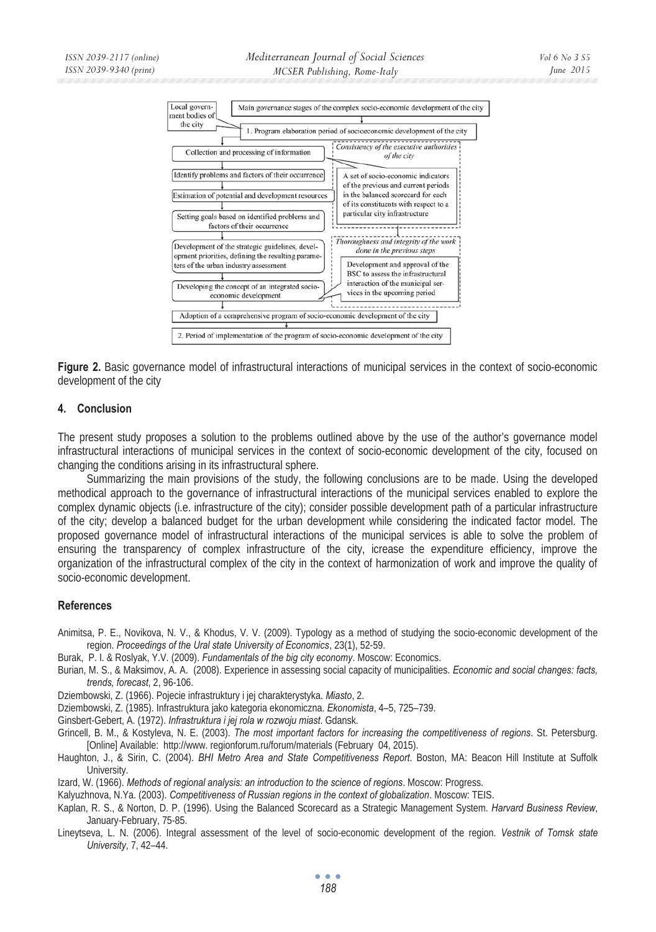

**Figure 2.** Basic governance model of infrastructural interactions of municipal services in the context of socio-economic development of the city

## **4. Conclusion**

The present study proposes a solution to the problems outlined above by the use of the author's governance model infrastructural interactions of municipal services in the context of socio-economic development of the city, focused on changing the conditions arising in its infrastructural sphere.

Summarizing the main provisions of the study, the following conclusions are to be made. Using the developed methodical approach to the governance of infrastructural interactions of the municipal services enabled to explore the complex dynamic objects (i.e. infrastructure of the city); consider possible development path of a particular infrastructure of the city; develop a balanced budget for the urban development while considering the indicated factor model. The proposed governance model of infrastructural interactions of the municipal services is able to solve the problem of ensuring the transparency of complex infrastructure of the city, icrease the expenditure efficiency, improve the organization of the infrastructural complex of the city in the context of harmonization of work and improve the quality of socio-economic development.

## **References**

Animitsa, P. E., Novikova, N. V., & Khodus, V. V. (2009). Typology as a method of studying the socio-economic development of the region. *Proceedings of the Ural state University of Economics*, 23(1), 52-59.

- Burak, P. I. & Roslyak, Y.V. (2009). *Fundamentals of the big city economy*. Moscow: Economics.
- Burian, M. S., & Maksimov, A. A. (2008). Experience in assessing social capacity of municipalities. *Economic and social changes: facts, trends, forecast*, 2, 96-106.

Dziembowski, Z. (1966). Pojecie infrastruktury i jej charakterystyka. *Miasto*, 2.

- Dziembowski, Z. (1985). Infrastruktura jako kategoria ekonomiczna. *Ekonomista*, 4–5, 725–739.
- Ginsbert-Gebert, A. (1972). *Infrastruktura i jej rola w rozwoju miast*. Gdansk.
- Grincell, B. M., & Kostyleva, N. E. (2003). *The most important factors for increasing the competitiveness of regions*. St. Petersburg. [Online] Available: http://www. regionforum.ru/forum/materials (February 04, 2015).
- Haughton, J., & Sirin, C. (2004). *BHI Metro Area and State Competitiveness Report*. Boston, MA: Beacon Hill Institute at Suffolk University.

Izard, W. (1966). *Methods of regional analysis: an introduction to the science of regions*. Moscow: Progress.

Kalyuzhnova, N.Ya. (2003). *Competitiveness of Russian regions in the context of globalization*. Moscow: TEIS.

- Kaplan, R. S., & Norton, D. P. (1996). Using the Balanced Scorecard as a Strategic Management System. *Harvard Business Review*, January-February, 75-85.
- Lineytseva, L. N. (2006). Integral assessment of the level of socio-economic development of the region. *Vestnik of Tomsk state University*, 7, 42–44.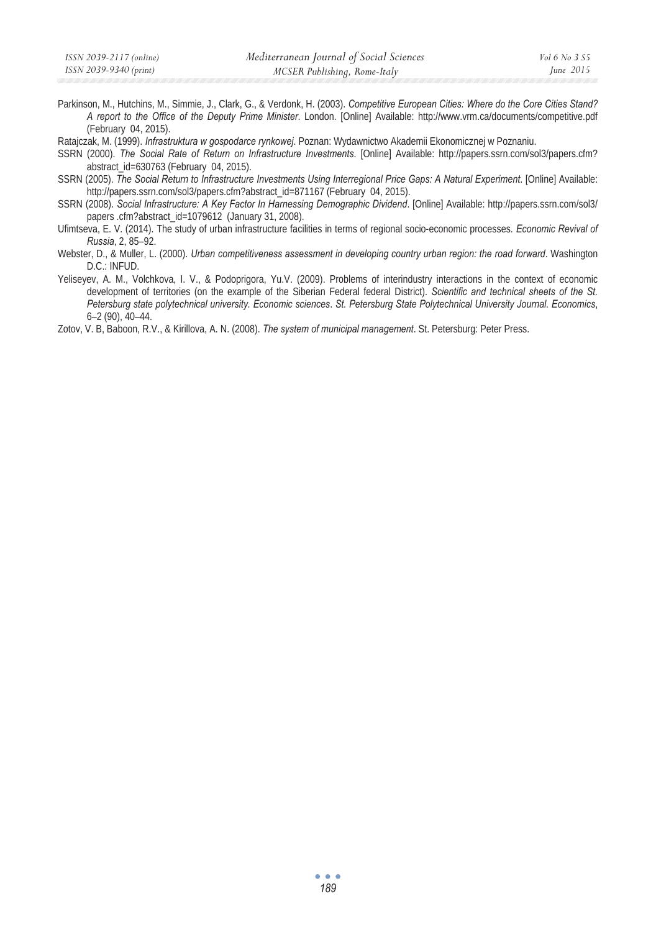Parkinson, M., Hutchins, M., Simmie, J., Clark, G., & Verdonk, H. (2003). *Competitive European Cities: Where do the Core Cities Stand? A report to the Office of the Deputy Prime Minister*. London. [Online] Available: http://www.vrm.ca/documents/competitive.pdf (February 04, 2015).

Ratajczak, M. (1999). *Infrastruktura w gospodarce rynkowej*. Poznan: Wydawnictwo Akademii Ekonomicznej w Poznaniu.

SSRN (2000). *The Social Rate of Return on Infrastructure Investments*. [Online] Available: http://papers.ssrn.com/sol3/papers.cfm? abstract\_id=630763 (February 04, 2015).

SSRN (2005). *The Social Return to Infrastructure Investments Using Interregional Price Gaps: A Natural Experiment*. [Online] Available: http://papers.ssrn.com/sol3/papers.cfm?abstract\_id=871167 (February 04, 2015).

SSRN (2008). *Social Infrastructure: A Key Factor In Harnessing Demographic Dividend*. [Online] Available: http://papers.ssrn.com/sol3/ papers .cfm?abstract\_id=1079612 (January 31, 2008).

Ufimtseva, E. V. (2014). The study of urban infrastructure facilities in terms of regional socio-economic processes*. Economic Revival of Russia*, 2, 85–92.

Yeliseyev, A. M., Volchkova, I. V., & Podoprigora, Yu.V. (2009). Problems of interindustry interactions in the context of economic development of territories (on the example of the Siberian Federal federal District). *Scientific and technical sheets of the St. Petersburg state polytechnical university. Economic sciences*. *St. Petersburg State Polytechnical University Journal. Economics*, 6–2 (90), 40–44.

Zotov, V. B, Baboon, R.V., & Kirillova, A. N. (2008). *The system of municipal management*. St. Petersburg: Peter Press.

Webster, D., & Muller, L. (2000). *Urban competitiveness assessment in developing country urban region: the road forward*. Washington D.C.: INFUD.